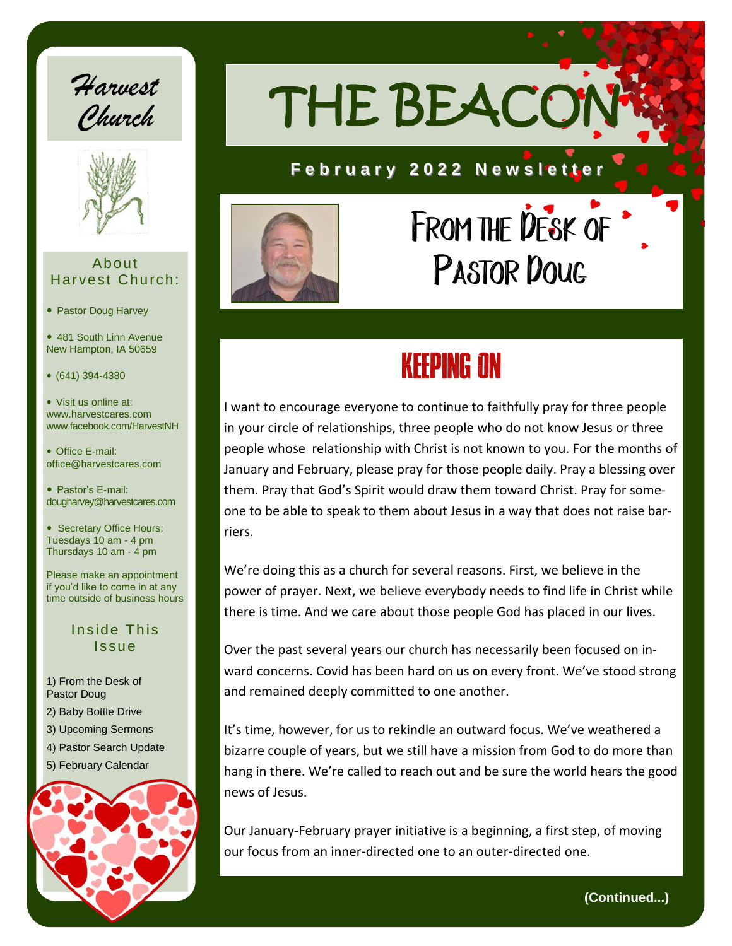



#### About Harvest Church:

- Pastor Doug Harvey
- 481 South Linn Avenue New Hampton, IA 50659
- (641) 394-4380

 Visit us online at: www.harvestcares.com www.facebook.com/HarvestNH

 Office E-mail: office@harvestcares.com

 Pastor's E-mail: dougharvey@harvestcares.com

• Secretary Office Hours: Tuesdays 10 am - 4 pm Thursdays 10 am - 4 pm

Please make an appointment if you'd like to come in at any time outside of business hours

#### Inside This Issue

1) From the Desk of Pastor Doug 2) Baby Bottle Drive 3) Upcoming Sermons 4) Pastor Search Update 5) February Calendar

THE BEACO

#### **F e b r u a r y 2 0 2 2 N e w s l e t t e r**



# FROM THE DESK OF PASTOR DOUG

# KEEPING ON

I want to encourage everyone to continue to faithfully pray for three people in your circle of relationships, three people who do not know Jesus or three people whose relationship with Christ is not known to you. For the months of January and February, please pray for those people daily. Pray a blessing over them. Pray that God's Spirit would draw them toward Christ. Pray for someone to be able to speak to them about Jesus in a way that does not raise barriers.

We're doing this as a church for several reasons. First, we believe in the power of prayer. Next, we believe everybody needs to find life in Christ while there is time. And we care about those people God has placed in our lives.

Over the past several years our church has necessarily been focused on inward concerns. Covid has been hard on us on every front. We've stood strong and remained deeply committed to one another.

It's time, however, for us to rekindle an outward focus. We've weathered a bizarre couple of years, but we still have a mission from God to do more than hang in there. We're called to reach out and be sure the world hears the good news of Jesus.

Our January-February prayer initiative is a beginning, a first step, of moving our focus from an inner-directed one to an outer-directed one.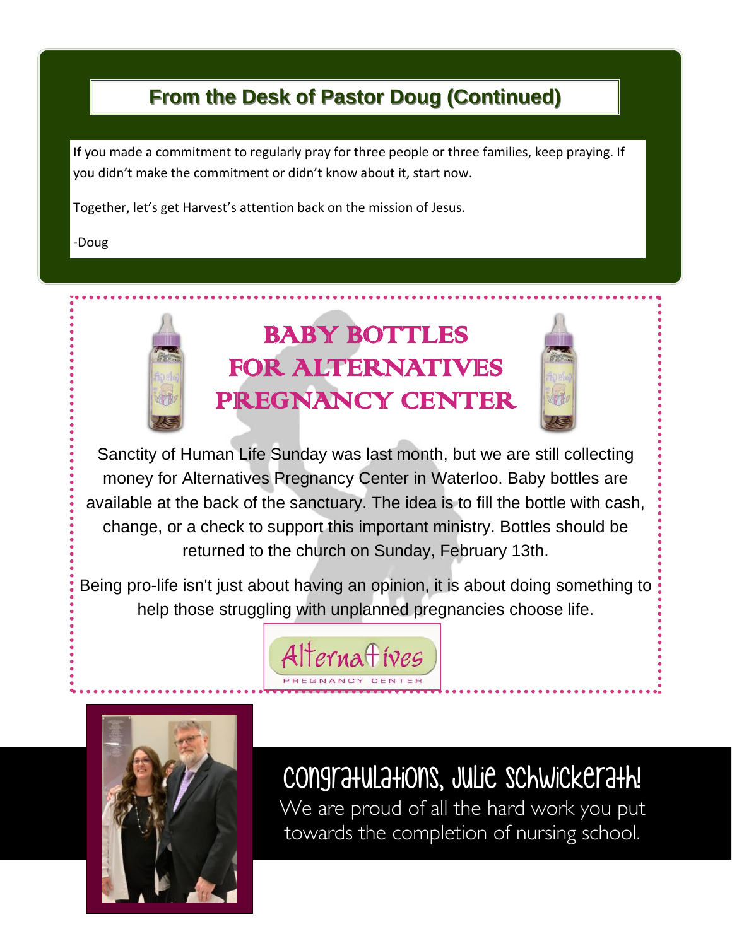## **From the Desk of Pastor Doug (Continued)**

If you made a commitment to regularly pray for three people or three families, keep praying. If you didn't make the commitment or didn't know about it, start now.

Together, let's get Harvest's attention back on the mission of Jesus.

-Doug



Sanctity of Human Life Sunday was last month, but we are still collecting money for Alternatives Pregnancy Center in Waterloo. Baby bottles are available at the back of the sanctuary. The idea is to fill the bottle with cash, change, or a check to support this important ministry. Bottles should be returned to the church on Sunday, February 13th.

Being pro-life isn't just about having an opinion, it is about doing something to help those struggling with unplanned pregnancies choose life.





Congratulations, Julie Schwickerath!

We are proud of all the hard work you put towards the completion of nursing school.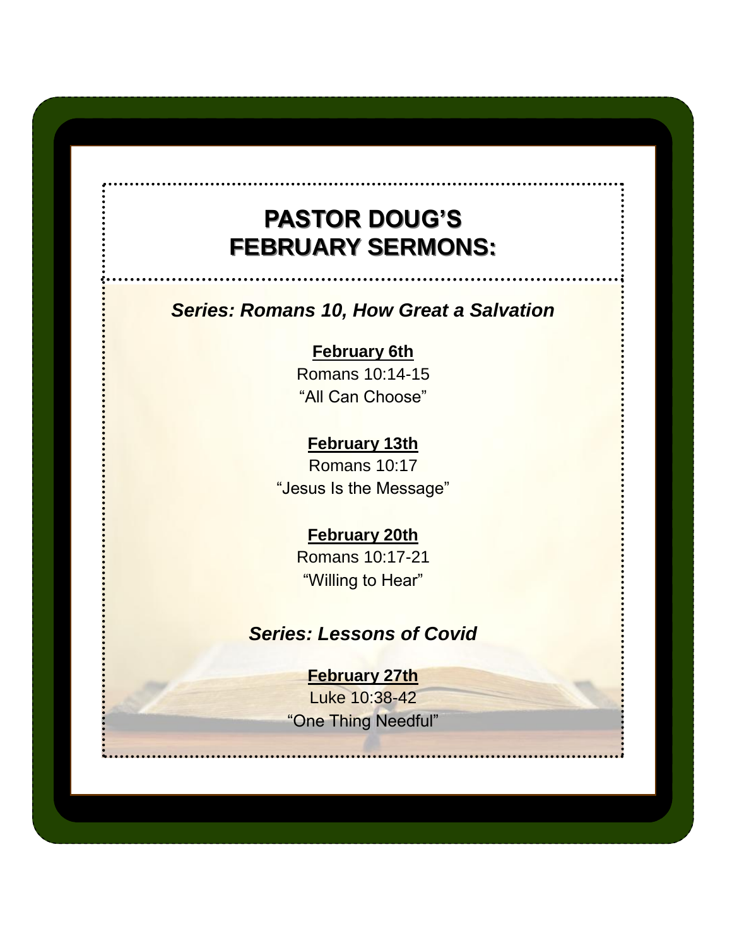## **PASTOR DOUG'S FEBRUARY SERMONS:**

### *Series: Romans 10, How Great a Salvation*

**February 6th** Romans 10:14-15 "All Can Choose"

**February 13th** Romans 10:17 "Jesus Is the Message"

#### **February 20th**

Romans 10:17-21 "Willing to Hear"

#### *Series: Lessons of Covid*

#### **February 27th**

Luke 10:38-42 "One Thing Needful"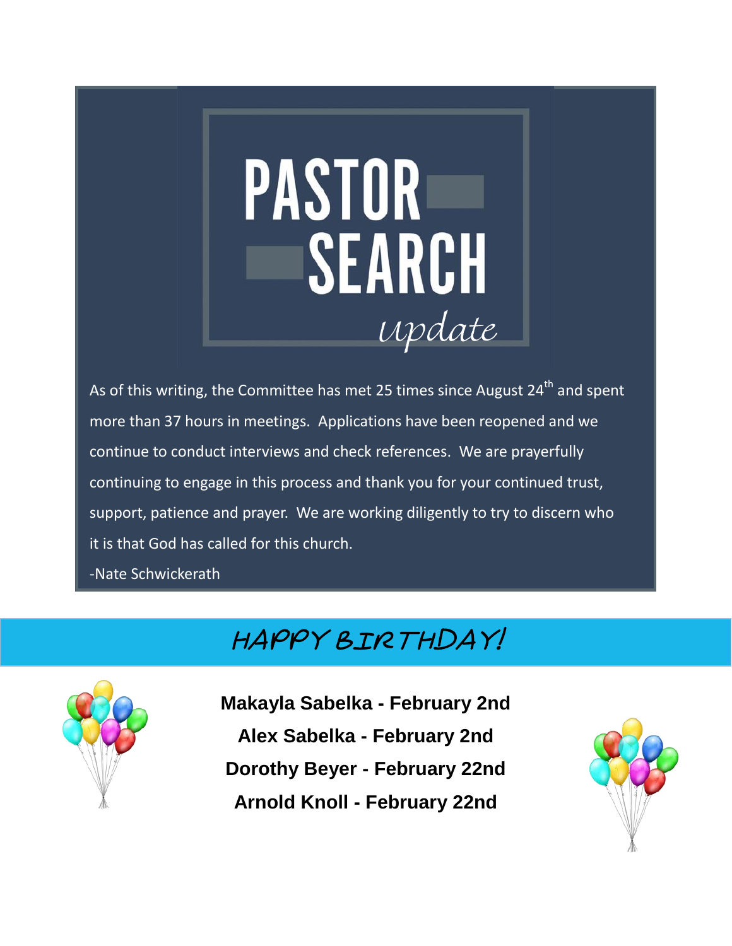# **PASTOR** SEARCH Update

As of this writing, the Committee has met 25 times since August  $24<sup>th</sup>$  and spent more than 37 hours in meetings. Applications have been reopened and we continue to conduct interviews and check references. We are prayerfully continuing to engage in this process and thank you for your continued trust, support, patience and prayer. We are working diligently to try to discern who it is that God has called for this church.

-Nate Schwickerath

## happy Birthday!



**Makayla Sabelka - February 2nd Alex Sabelka - February 2nd Dorothy Beyer - February 22nd Arnold Knoll - February 22nd**